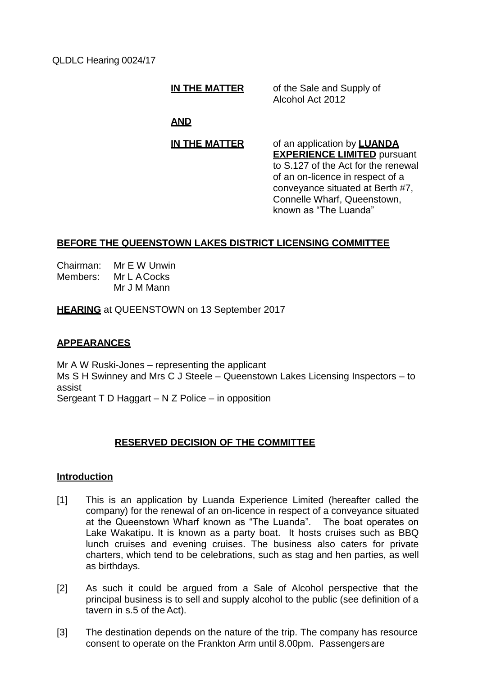QLDLC Hearing 0024/17

**IN THE MATTER** of the Sale and Supply of Alcohol Act 2012

# **AND**

**IN THE MATTER** of an application by **LUANDA EXPERIENCE LIMITED** pursuant to S.127 of the Act for the renewal of an on-licence in respect of a conveyance situated at Berth #7, Connelle Wharf, Queenstown, known as "The Luanda"

# **BEFORE THE QUEENSTOWN LAKES DISTRICT LICENSING COMMITTEE**

Chairman: Mr E W Unwin Members: Mr L ACocks Mr J M Mann

**HEARING** at QUEENSTOWN on 13 September 2017

## **APPEARANCES**

Mr A W Ruski-Jones – representing the applicant Ms S H Swinney and Mrs C J Steele – Queenstown Lakes Licensing Inspectors – to assist Sergeant T D Haggart – N Z Police – in opposition

# **RESERVED DECISION OF THE COMMITTEE**

### **Introduction**

- [1] This is an application by Luanda Experience Limited (hereafter called the company) for the renewal of an on-licence in respect of a conveyance situated at the Queenstown Wharf known as "The Luanda". The boat operates on Lake Wakatipu. It is known as a party boat. It hosts cruises such as BBQ lunch cruises and evening cruises. The business also caters for private charters, which tend to be celebrations, such as stag and hen parties, as well as birthdays.
- [2] As such it could be argued from a Sale of Alcohol perspective that the principal business is to sell and supply alcohol to the public (see definition of a tavern in s.5 of the Act).
- [3] The destination depends on the nature of the trip. The company has resource consent to operate on the Frankton Arm until 8.00pm. Passengersare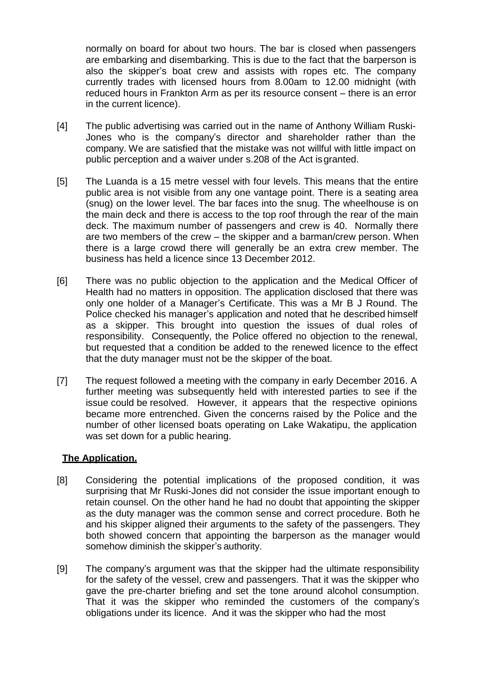normally on board for about two hours. The bar is closed when passengers are embarking and disembarking. This is due to the fact that the barperson is also the skipper's boat crew and assists with ropes etc. The company currently trades with licensed hours from 8.00am to 12.00 midnight (with reduced hours in Frankton Arm as per its resource consent – there is an error in the current licence).

- [4] The public advertising was carried out in the name of Anthony William Ruski-Jones who is the company's director and shareholder rather than the company. We are satisfied that the mistake was not willful with little impact on public perception and a waiver under s.208 of the Act isgranted.
- [5] The Luanda is a 15 metre vessel with four levels. This means that the entire public area is not visible from any one vantage point. There is a seating area (snug) on the lower level. The bar faces into the snug. The wheelhouse is on the main deck and there is access to the top roof through the rear of the main deck. The maximum number of passengers and crew is 40. Normally there are two members of the crew – the skipper and a barman/crew person. When there is a large crowd there will generally be an extra crew member. The business has held a licence since 13 December 2012.
- [6] There was no public objection to the application and the Medical Officer of Health had no matters in opposition. The application disclosed that there was only one holder of a Manager's Certificate. This was a Mr B J Round. The Police checked his manager's application and noted that he described himself as a skipper. This brought into question the issues of dual roles of responsibility. Consequently, the Police offered no objection to the renewal, but requested that a condition be added to the renewed licence to the effect that the duty manager must not be the skipper of the boat.
- [7] The request followed a meeting with the company in early December 2016. A further meeting was subsequently held with interested parties to see if the issue could be resolved. However, it appears that the respective opinions became more entrenched. Given the concerns raised by the Police and the number of other licensed boats operating on Lake Wakatipu, the application was set down for a public hearing.

### **The Application.**

- [8] Considering the potential implications of the proposed condition, it was surprising that Mr Ruski-Jones did not consider the issue important enough to retain counsel. On the other hand he had no doubt that appointing the skipper as the duty manager was the common sense and correct procedure. Both he and his skipper aligned their arguments to the safety of the passengers. They both showed concern that appointing the barperson as the manager would somehow diminish the skipper's authority.
- [9] The company's argument was that the skipper had the ultimate responsibility for the safety of the vessel, crew and passengers. That it was the skipper who gave the pre-charter briefing and set the tone around alcohol consumption. That it was the skipper who reminded the customers of the company's obligations under its licence. And it was the skipper who had the most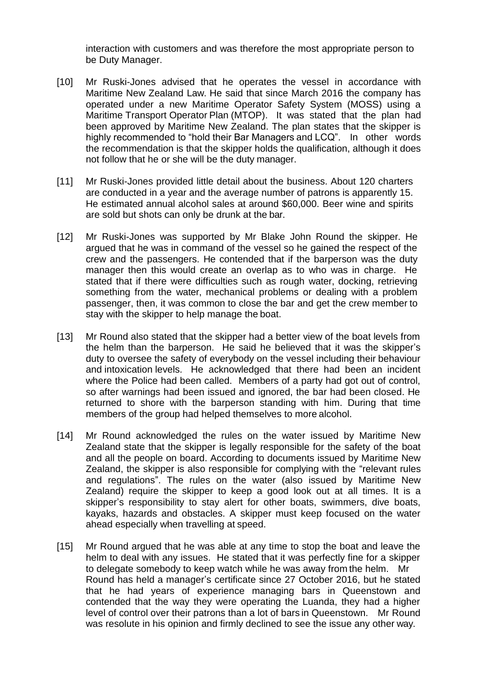interaction with customers and was therefore the most appropriate person to be Duty Manager.

- [10] Mr Ruski-Jones advised that he operates the vessel in accordance with Maritime New Zealand Law. He said that since March 2016 the company has operated under a new Maritime Operator Safety System (MOSS) using a Maritime Transport Operator Plan (MTOP). It was stated that the plan had been approved by Maritime New Zealand. The plan states that the skipper is highly recommended to "hold their Bar Managers and LCQ". In other words the recommendation is that the skipper holds the qualification, although it does not follow that he or she will be the duty manager.
- [11] Mr Ruski-Jones provided little detail about the business. About 120 charters are conducted in a year and the average number of patrons is apparently 15. He estimated annual alcohol sales at around \$60,000. Beer wine and spirits are sold but shots can only be drunk at the bar.
- [12] Mr Ruski-Jones was supported by Mr Blake John Round the skipper. He argued that he was in command of the vessel so he gained the respect of the crew and the passengers. He contended that if the barperson was the duty manager then this would create an overlap as to who was in charge. He stated that if there were difficulties such as rough water, docking, retrieving something from the water, mechanical problems or dealing with a problem passenger, then, it was common to close the bar and get the crew member to stay with the skipper to help manage the boat.
- [13] Mr Round also stated that the skipper had a better view of the boat levels from the helm than the barperson. He said he believed that it was the skipper's duty to oversee the safety of everybody on the vessel including their behaviour and intoxication levels. He acknowledged that there had been an incident where the Police had been called. Members of a party had got out of control, so after warnings had been issued and ignored, the bar had been closed. He returned to shore with the barperson standing with him. During that time members of the group had helped themselves to more alcohol.
- [14] Mr Round acknowledged the rules on the water issued by Maritime New Zealand state that the skipper is legally responsible for the safety of the boat and all the people on board. According to documents issued by Maritime New Zealand, the skipper is also responsible for complying with the "relevant rules and regulations". The rules on the water (also issued by Maritime New Zealand) require the skipper to keep a good look out at all times. It is a skipper's responsibility to stay alert for other boats, swimmers, dive boats, kayaks, hazards and obstacles. A skipper must keep focused on the water ahead especially when travelling at speed.
- [15] Mr Round argued that he was able at any time to stop the boat and leave the helm to deal with any issues. He stated that it was perfectly fine for a skipper to delegate somebody to keep watch while he was away from the helm. Mr Round has held a manager's certificate since 27 October 2016, but he stated that he had years of experience managing bars in Queenstown and contended that the way they were operating the Luanda, they had a higher level of control over their patrons than a lot of bars in Queenstown. Mr Round was resolute in his opinion and firmly declined to see the issue any other way.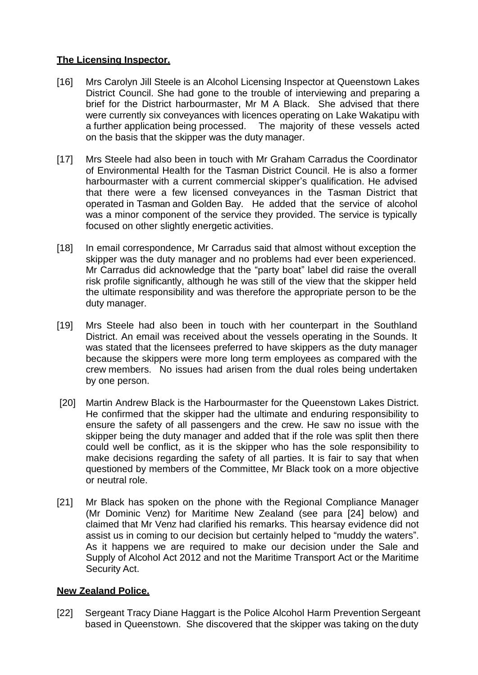## **The Licensing Inspector.**

- [16] Mrs Carolyn Jill Steele is an Alcohol Licensing Inspector at Queenstown Lakes District Council. She had gone to the trouble of interviewing and preparing a brief for the District harbourmaster, Mr M A Black. She advised that there were currently six conveyances with licences operating on Lake Wakatipu with a further application being processed. The majority of these vessels acted on the basis that the skipper was the duty manager.
- [17] Mrs Steele had also been in touch with Mr Graham Carradus the Coordinator of Environmental Health for the Tasman District Council. He is also a former harbourmaster with a current commercial skipper's qualification. He advised that there were a few licensed conveyances in the Tasman District that operated in Tasman and Golden Bay. He added that the service of alcohol was a minor component of the service they provided. The service is typically focused on other slightly energetic activities.
- [18] In email correspondence, Mr Carradus said that almost without exception the skipper was the duty manager and no problems had ever been experienced. Mr Carradus did acknowledge that the "party boat" label did raise the overall risk profile significantly, although he was still of the view that the skipper held the ultimate responsibility and was therefore the appropriate person to be the duty manager.
- [19] Mrs Steele had also been in touch with her counterpart in the Southland District. An email was received about the vessels operating in the Sounds. It was stated that the licensees preferred to have skippers as the duty manager because the skippers were more long term employees as compared with the crew members. No issues had arisen from the dual roles being undertaken by one person.
- [20] Martin Andrew Black is the Harbourmaster for the Queenstown Lakes District. He confirmed that the skipper had the ultimate and enduring responsibility to ensure the safety of all passengers and the crew. He saw no issue with the skipper being the duty manager and added that if the role was split then there could well be conflict, as it is the skipper who has the sole responsibility to make decisions regarding the safety of all parties. It is fair to say that when questioned by members of the Committee, Mr Black took on a more objective or neutral role.
- [21] Mr Black has spoken on the phone with the Regional Compliance Manager (Mr Dominic Venz) for Maritime New Zealand (see para [24] below) and claimed that Mr Venz had clarified his remarks. This hearsay evidence did not assist us in coming to our decision but certainly helped to "muddy the waters". As it happens we are required to make our decision under the Sale and Supply of Alcohol Act 2012 and not the Maritime Transport Act or the Maritime Security Act.

## **New Zealand Police.**

[22] Sergeant Tracy Diane Haggart is the Police Alcohol Harm Prevention Sergeant based in Queenstown. She discovered that the skipper was taking on the duty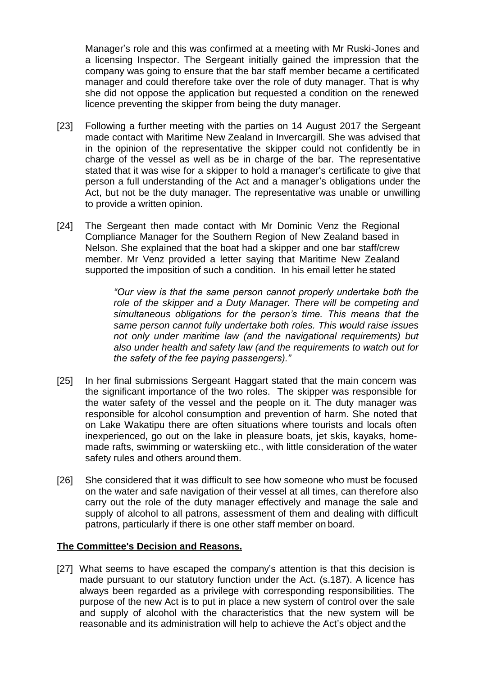Manager's role and this was confirmed at a meeting with Mr Ruski-Jones and a licensing Inspector. The Sergeant initially gained the impression that the company was going to ensure that the bar staff member became a certificated manager and could therefore take over the role of duty manager. That is why she did not oppose the application but requested a condition on the renewed licence preventing the skipper from being the duty manager.

- [23] Following a further meeting with the parties on 14 August 2017 the Sergeant made contact with Maritime New Zealand in Invercargill. She was advised that in the opinion of the representative the skipper could not confidently be in charge of the vessel as well as be in charge of the bar. The representative stated that it was wise for a skipper to hold a manager's certificate to give that person a full understanding of the Act and a manager's obligations under the Act, but not be the duty manager. The representative was unable or unwilling to provide a written opinion.
- [24] The Sergeant then made contact with Mr Dominic Venz the Regional Compliance Manager for the Southern Region of New Zealand based in Nelson. She explained that the boat had a skipper and one bar staff/crew member. Mr Venz provided a letter saying that Maritime New Zealand supported the imposition of such a condition. In his email letter he stated

*"Our view is that the same person cannot properly undertake both the role of the skipper and a Duty Manager. There will be competing and simultaneous obligations for the person's time. This means that the same person cannot fully undertake both roles. This would raise issues not only under maritime law (and the navigational requirements) but also under health and safety law (and the requirements to watch out for the safety of the fee paying passengers)."*

- [25] In her final submissions Sergeant Haggart stated that the main concern was the significant importance of the two roles. The skipper was responsible for the water safety of the vessel and the people on it. The duty manager was responsible for alcohol consumption and prevention of harm. She noted that on Lake Wakatipu there are often situations where tourists and locals often inexperienced, go out on the lake in pleasure boats, jet skis, kayaks, homemade rafts, swimming or waterskiing etc., with little consideration of the water safety rules and others around them.
- [26] She considered that it was difficult to see how someone who must be focused on the water and safe navigation of their vessel at all times, can therefore also carry out the role of the duty manager effectively and manage the sale and supply of alcohol to all patrons, assessment of them and dealing with difficult patrons, particularly if there is one other staff member on board.

### **The Committee's Decision and Reasons.**

[27] What seems to have escaped the company's attention is that this decision is made pursuant to our statutory function under the Act. (s.187). A licence has always been regarded as a privilege with corresponding responsibilities. The purpose of the new Act is to put in place a new system of control over the sale and supply of alcohol with the characteristics that the new system will be reasonable and its administration will help to achieve the Act's object and the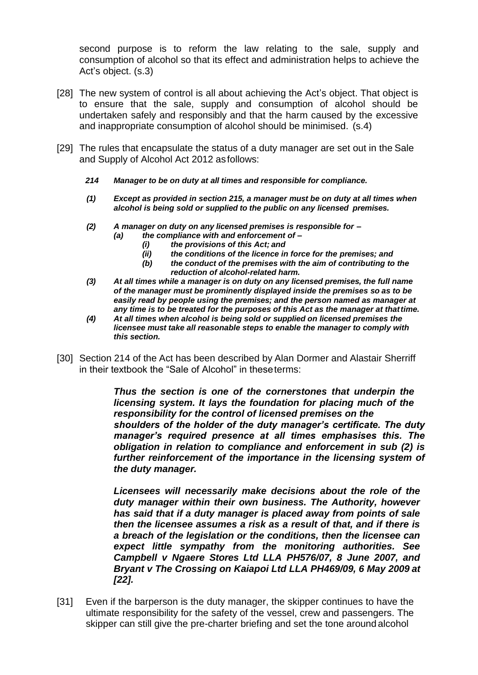second purpose is to reform the law relating to the sale, supply and consumption of alcohol so that its effect and administration helps to achieve the Act's object. (s.3)

- [28] The new system of control is all about achieving the Act's object. That object is to ensure that the sale, supply and consumption of alcohol should be undertaken safely and responsibly and that the harm caused by the excessive and inappropriate consumption of alcohol should be minimised. (s.4)
- [29] The rules that encapsulate the status of a duty manager are set out in the Sale and Supply of Alcohol Act 2012 asfollows:
	- *214 Manager to be on duty at all times and responsible for compliance.*
	- *(1) Except as provided in section 215, a manager must be on duty at all times when alcohol is being sold or supplied to the public on any licensed premises.*
	- *(2) A manager on duty on any licensed premises is responsible for –*
		- *(a) the compliance with and enforcement of –*
			- *(i) the provisions of this Act; and*
			- *(ii) the conditions of the licence in force for the premises; and*
			- *(b) the conduct of the premises with the aim of contributing to the reduction of alcohol-related harm.*
	- *(3) At all times while a manager is on duty on any licensed premises, the full name of the manager must be prominently displayed inside the premises so as to be easily read by people using the premises; and the person named as manager at any time is to be treated for the purposes of this Act as the manager at thattime.*
	- *(4) At all times when alcohol is being sold or supplied on licensed premises the licensee must take all reasonable steps to enable the manager to comply with this section.*
- [30] Section 214 of the Act has been described by Alan Dormer and Alastair Sherriff in their textbook the "Sale of Alcohol" in theseterms:

*Thus the section is one of the cornerstones that underpin the licensing system. It lays the foundation for placing much of the responsibility for the control of licensed premises on the shoulders of the holder of the duty manager's certificate. The duty manager's required presence at all times emphasises this. The obligation in relation to compliance and enforcement in sub (2) is further reinforcement of the importance in the licensing system of the duty manager.*

*Licensees will necessarily make decisions about the role of the duty manager within their own business. The Authority, however has said that if a duty manager is placed away from points of sale then the licensee assumes a risk as a result of that, and if there is a breach of the legislation or the conditions, then the licensee can expect little sympathy from the monitoring authorities. See Campbell v Ngaere Stores Ltd LLA PH576/07, 8 June 2007, and Bryant v The Crossing on Kaiapoi Ltd LLA PH469/09, 6 May 2009 at [22].*

[31] Even if the barperson is the duty manager, the skipper continues to have the ultimate responsibility for the safety of the vessel, crew and passengers. The skipper can still give the pre-charter briefing and set the tone around alcohol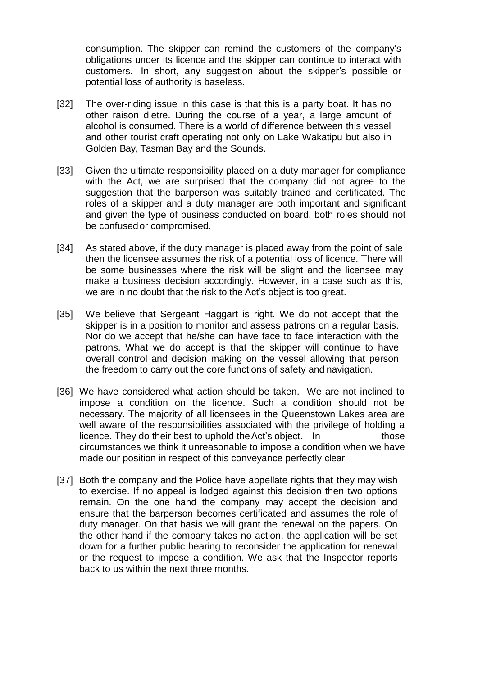consumption. The skipper can remind the customers of the company's obligations under its licence and the skipper can continue to interact with customers. In short, any suggestion about the skipper's possible or potential loss of authority is baseless.

- [32] The over-riding issue in this case is that this is a party boat. It has no other raison d'etre. During the course of a year, a large amount of alcohol is consumed. There is a world of difference between this vessel and other tourist craft operating not only on Lake Wakatipu but also in Golden Bay, Tasman Bay and the Sounds.
- [33] Given the ultimate responsibility placed on a duty manager for compliance with the Act, we are surprised that the company did not agree to the suggestion that the barperson was suitably trained and certificated. The roles of a skipper and a duty manager are both important and significant and given the type of business conducted on board, both roles should not be confusedor compromised.
- [34] As stated above, if the duty manager is placed away from the point of sale then the licensee assumes the risk of a potential loss of licence. There will be some businesses where the risk will be slight and the licensee may make a business decision accordingly. However, in a case such as this, we are in no doubt that the risk to the Act's object is too great.
- [35] We believe that Sergeant Haggart is right. We do not accept that the skipper is in a position to monitor and assess patrons on a regular basis. Nor do we accept that he/she can have face to face interaction with the patrons. What we do accept is that the skipper will continue to have overall control and decision making on the vessel allowing that person the freedom to carry out the core functions of safety and navigation.
- [36] We have considered what action should be taken. We are not inclined to impose a condition on the licence. Such a condition should not be necessary. The majority of all licensees in the Queenstown Lakes area are well aware of the responsibilities associated with the privilege of holding a licence. They do their best to uphold theAct's object. In those circumstances we think it unreasonable to impose a condition when we have made our position in respect of this conveyance perfectly clear.
- [37] Both the company and the Police have appellate rights that they may wish to exercise. If no appeal is lodged against this decision then two options remain. On the one hand the company may accept the decision and ensure that the barperson becomes certificated and assumes the role of duty manager. On that basis we will grant the renewal on the papers. On the other hand if the company takes no action, the application will be set down for a further public hearing to reconsider the application for renewal or the request to impose a condition. We ask that the Inspector reports back to us within the next three months.